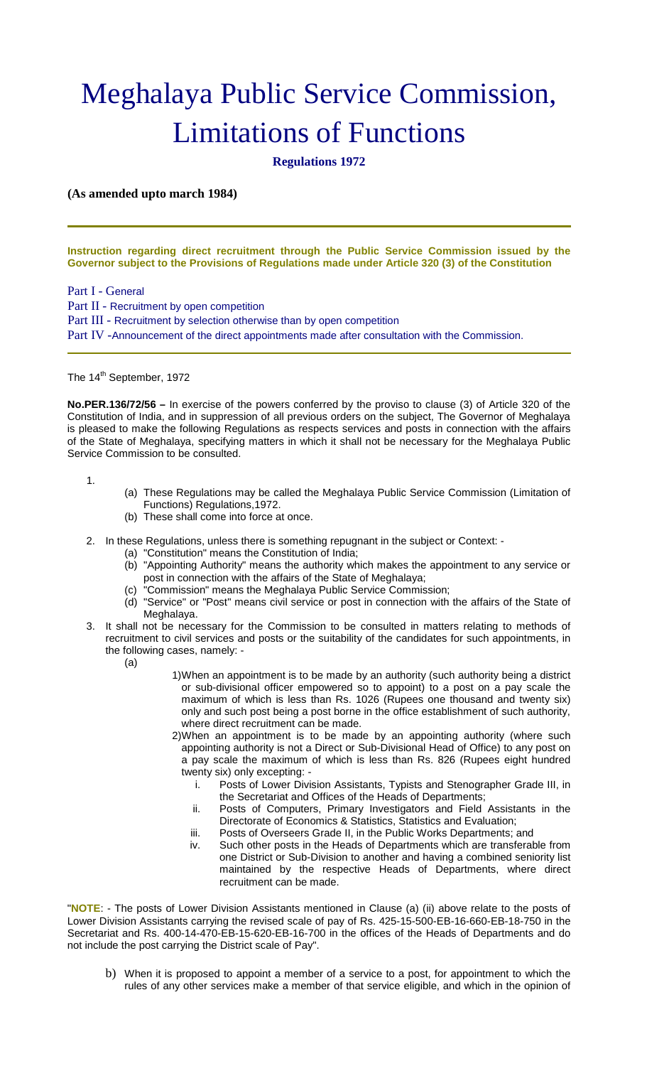# Meghalaya Public Service Commission, Limitations of Functions

**Regulations 1972**

# **(As amended upto march 1984)**

**Instruction regarding direct recruitment through the Public Service Commission issued by the Governor subject to the Provisions of Regulations made under Article 320 (3) of the Constitution**

Part I - General

Part II - Recruitment by open competition

Part III - Recruitment by selection otherwise than by open competition

Part IV -Announcement of the direct appointments made after consultation with the Commission.

# The 14<sup>th</sup> September, 1972

**No.PER.136/72/56 –** In exercise of the powers conferred by the proviso to clause (3) of Article 320 of the Constitution of India, and in suppression of all previous orders on the subject, The Governor of Meghalaya is pleased to make the following Regulations as respects services and posts in connection with the affairs of the State of Meghalaya, specifying matters in which it shall not be necessary for the Meghalaya Public Service Commission to be consulted.

1.

- (a) These Regulations may be called the Meghalaya Public Service Commission (Limitation of Functions) Regulations,1972.
- (b) These shall come into force at once.
- 2. In these Regulations, unless there is something repugnant in the subject or Context:
	- (a) "Constitution" means the Constitution of India;
	- (b) "Appointing Authority" means the authority which makes the appointment to any service or post in connection with the affairs of the State of Meghalaya;
	- (c) "Commission" means the Meghalaya Public Service Commission;
	- (d) "Service" or "Post" means civil service or post in connection with the affairs of the State of Meghalaya.
- 3. It shall not be necessary for the Commission to be consulted in matters relating to methods of recruitment to civil services and posts or the suitability of the candidates for such appointments, in the following cases, namely: -
	- (a)
- 1)When an appointment is to be made by an authority (such authority being a district or sub-divisional officer empowered so to appoint) to a post on a pay scale the maximum of which is less than Rs. 1026 (Rupees one thousand and twenty six) only and such post being a post borne in the office establishment of such authority, where direct recruitment can be made.
- 2)When an appointment is to be made by an appointing authority (where such appointing authority is not a Direct or Sub-Divisional Head of Office) to any post on a pay scale the maximum of which is less than Rs. 826 (Rupees eight hundred twenty six) only excepting:
	- i. Posts of Lower Division Assistants, Typists and Stenographer Grade III, in the Secretariat and Offices of the Heads of Departments;
	- ii. Posts of Computers, Primary Investigators and Field Assistants in the Directorate of Economics & Statistics, Statistics and Evaluation;
	- iii. Posts of Overseers Grade II, in the Public Works Departments; and
	- iv. Such other posts in the Heads of Departments which are transferable from one District or Sub-Division to another and having a combined seniority list maintained by the respective Heads of Departments, where direct recruitment can be made.

"**NOTE**: - The posts of Lower Division Assistants mentioned in Clause (a) (ii) above relate to the posts of Lower Division Assistants carrying the revised scale of pay of Rs. 425-15-500-EB-16-660-EB-18-750 in the Secretariat and Rs. 400-14-470-EB-15-620-EB-16-700 in the offices of the Heads of Departments and do not include the post carrying the District scale of Pay".

b) When it is proposed to appoint a member of a service to a post, for appointment to which the rules of any other services make a member of that service eligible, and which in the opinion of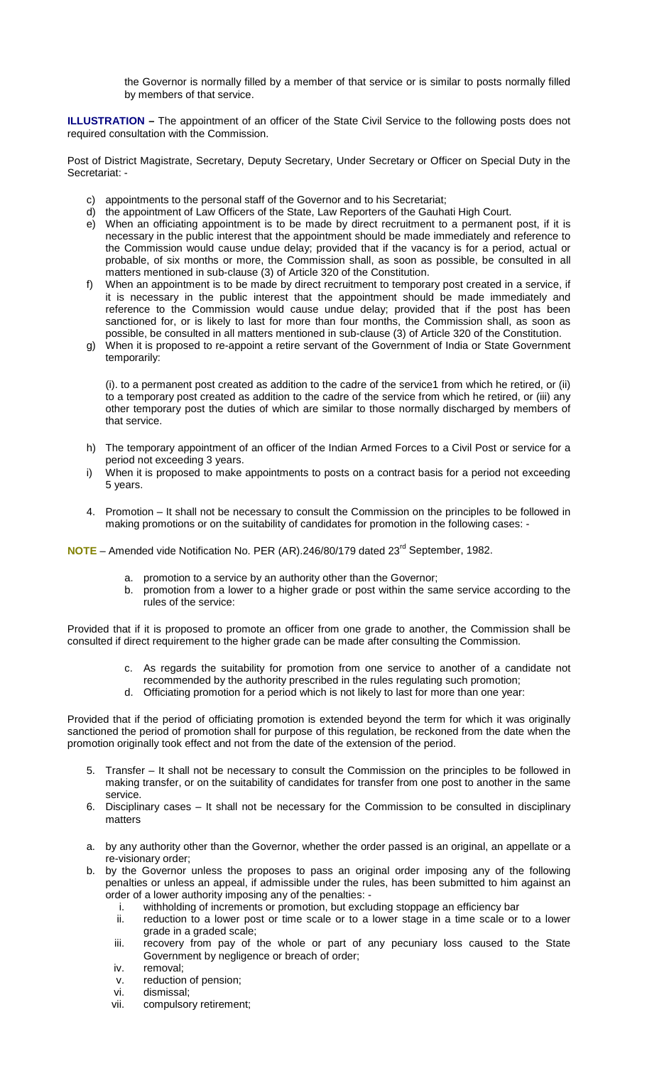the Governor is normally filled by a member of that service or is similar to posts normally filled by members of that service.

**ILLUSTRATION –** The appointment of an officer of the State Civil Service to the following posts does not required consultation with the Commission.

Post of District Magistrate, Secretary, Deputy Secretary, Under Secretary or Officer on Special Duty in the Secretariat: -

- c) appointments to the personal staff of the Governor and to his Secretariat;<br>d) the appointment of Law Officers of the State, Law Reporters of the Gauha
- the appointment of Law Officers of the State, Law Reporters of the Gauhati High Court.
- e) When an officiating appointment is to be made by direct recruitment to a permanent post, if it is necessary in the public interest that the appointment should be made immediately and reference to the Commission would cause undue delay; provided that if the vacancy is for a period, actual or probable, of six months or more, the Commission shall, as soon as possible, be consulted in all matters mentioned in sub-clause (3) of Article 320 of the Constitution.
- f) When an appointment is to be made by direct recruitment to temporary post created in a service, if it is necessary in the public interest that the appointment should be made immediately and reference to the Commission would cause undue delay; provided that if the post has been sanctioned for, or is likely to last for more than four months, the Commission shall, as soon as possible, be consulted in all matters mentioned in sub-clause (3) of Article 320 of the Constitution.
- g) When it is proposed to re-appoint a retire servant of the Government of India or State Government temporarily:

(i). to a permanent post created as addition to the cadre of the service1 from which he retired, or (ii) to a temporary post created as addition to the cadre of the service from which he retired, or (iii) any other temporary post the duties of which are similar to those normally discharged by members of that service.

- h) The temporary appointment of an officer of the Indian Armed Forces to a Civil Post or service for a period not exceeding 3 years.
- i) When it is proposed to make appointments to posts on a contract basis for a period not exceeding 5 years.
- 4. Promotion It shall not be necessary to consult the Commission on the principles to be followed in making promotions or on the suitability of candidates for promotion in the following cases: -

**NOTE** – Amended vide Notification No. PER (AR).246/80/179 dated 23<sup>rd</sup> September, 1982.

- a. promotion to a service by an authority other than the Governor;
- b. promotion from a lower to a higher grade or post within the same service according to the rules of the service:

Provided that if it is proposed to promote an officer from one grade to another, the Commission shall be consulted if direct requirement to the higher grade can be made after consulting the Commission.

- c. As regards the suitability for promotion from one service to another of a candidate not recommended by the authority prescribed in the rules regulating such promotion;
- d. Officiating promotion for a period which is not likely to last for more than one year:

Provided that if the period of officiating promotion is extended beyond the term for which it was originally sanctioned the period of promotion shall for purpose of this regulation, be reckoned from the date when the promotion originally took effect and not from the date of the extension of the period.

- 5. Transfer It shall not be necessary to consult the Commission on the principles to be followed in making transfer, or on the suitability of candidates for transfer from one post to another in the same service.
- 6. Disciplinary cases It shall not be necessary for the Commission to be consulted in disciplinary matters
- a. by any authority other than the Governor, whether the order passed is an original, an appellate or a re-visionary order;
- b. by the Governor unless the proposes to pass an original order imposing any of the following penalties or unless an appeal, if admissible under the rules, has been submitted to him against an order of a lower authority imposing any of the penalties:
	- i. withholding of increments or promotion, but excluding stoppage an efficiency bar
	- ii. reduction to a lower post or time scale or to a lower stage in a time scale or to a lower grade in a graded scale;
	- iii. recovery from pay of the whole or part of any pecuniary loss caused to the State Government by negligence or breach of order;
	- iv. removal;
	- v. reduction of pension;
	- vi. dismissal;
	- vii. compulsory retirement;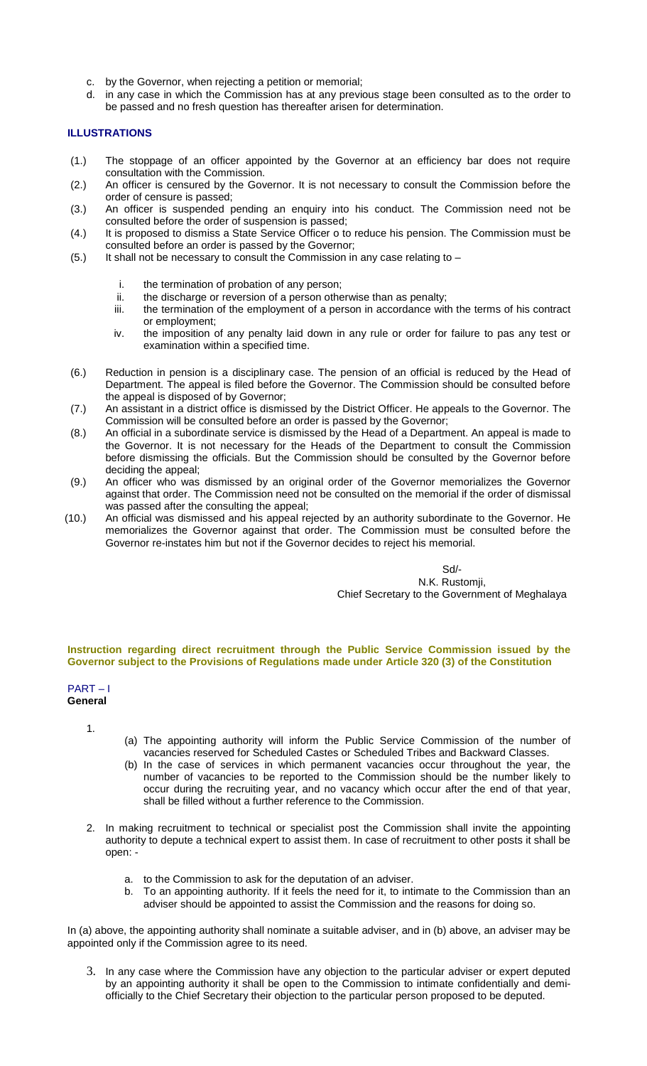- c. by the Governor, when rejecting a petition or memorial;
- d. in any case in which the Commission has at any previous stage been consulted as to the order to be passed and no fresh question has thereafter arisen for determination.

# **ILLUSTRATIONS**

- (1.) The stoppage of an officer appointed by the Governor at an efficiency bar does not require consultation with the Commission.
- (2.) An officer is censured by the Governor. It is not necessary to consult the Commission before the order of censure is passed;
- (3.) An officer is suspended pending an enquiry into his conduct. The Commission need not be consulted before the order of suspension is passed;
- (4.) It is proposed to dismiss a State Service Officer o to reduce his pension. The Commission must be consulted before an order is passed by the Governor;
- (5.) It shall not be necessary to consult the Commission in any case relating to  $$ 
	- i. the termination of probation of any person;<br>ii. the discharge or reversion of a person other
	- ii. the discharge or reversion of a person otherwise than as penalty;<br>iii. the termination of the employment of a person in accordance with
	- the termination of the employment of a person in accordance with the terms of his contract or employment;
	- iv. the imposition of any penalty laid down in any rule or order for failure to pas any test or examination within a specified time.
- (6.) Reduction in pension is a disciplinary case. The pension of an official is reduced by the Head of Department. The appeal is filed before the Governor. The Commission should be consulted before the appeal is disposed of by Governor;
- (7.) An assistant in a district office is dismissed by the District Officer. He appeals to the Governor. The Commission will be consulted before an order is passed by the Governor;
- (8.) An official in a subordinate service is dismissed by the Head of a Department. An appeal is made to the Governor. It is not necessary for the Heads of the Department to consult the Commission before dismissing the officials. But the Commission should be consulted by the Governor before deciding the appeal;
- (9.) An officer who was dismissed by an original order of the Governor memorializes the Governor against that order. The Commission need not be consulted on the memorial if the order of dismissal was passed after the consulting the appeal;
- (10.) An official was dismissed and his appeal rejected by an authority subordinate to the Governor. He memorializes the Governor against that order. The Commission must be consulted before the Governor re-instates him but not if the Governor decides to reject his memorial.

Sd/- N.K. Rustomji, Chief Secretary to the Government of Meghalaya

## **Instruction regarding direct recruitment through the Public Service Commission issued by the Governor subject to the Provisions of Regulations made under Article 320 (3) of the Constitution**

# PART – I

**General**

1.

- (a) The appointing authority will inform the Public Service Commission of the number of vacancies reserved for Scheduled Castes or Scheduled Tribes and Backward Classes.
- (b) In the case of services in which permanent vacancies occur throughout the year, the number of vacancies to be reported to the Commission should be the number likely to occur during the recruiting year, and no vacancy which occur after the end of that year, shall be filled without a further reference to the Commission.
- 2. In making recruitment to technical or specialist post the Commission shall invite the appointing authority to depute a technical expert to assist them. In case of recruitment to other posts it shall be open:
	- a. to the Commission to ask for the deputation of an adviser.
	- b. To an appointing authority. If it feels the need for it, to intimate to the Commission than an adviser should be appointed to assist the Commission and the reasons for doing so.

In (a) above, the appointing authority shall nominate a suitable adviser, and in (b) above, an adviser may be appointed only if the Commission agree to its need.

3. In any case where the Commission have any objection to the particular adviser or expert deputed by an appointing authority it shall be open to the Commission to intimate confidentially and demiofficially to the Chief Secretary their objection to the particular person proposed to be deputed.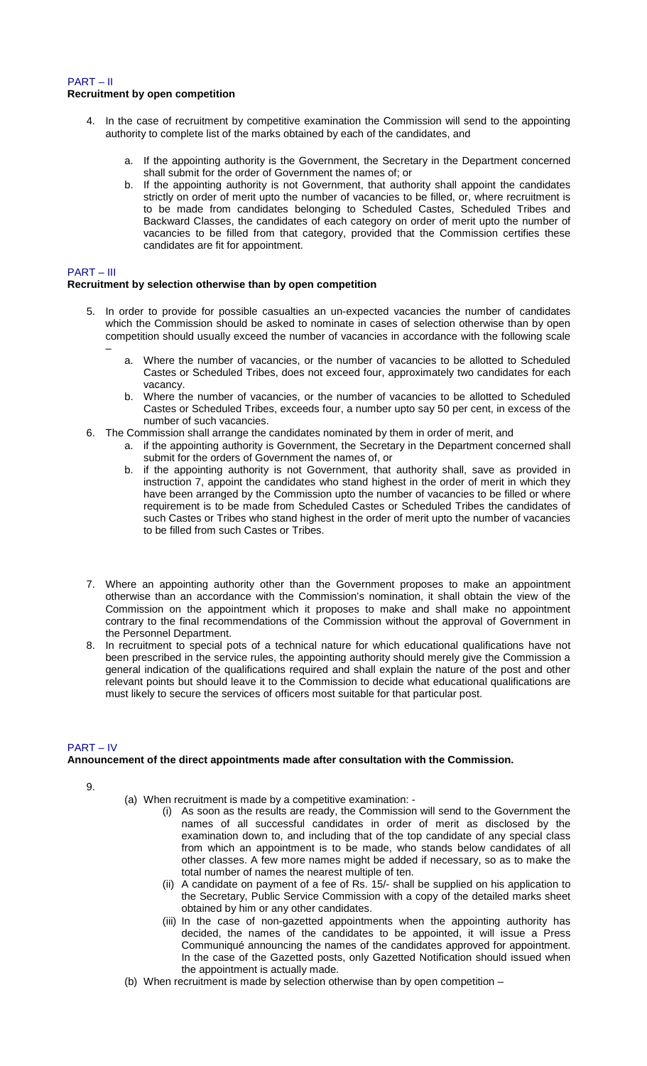# PART – II **Recruitment by open competition**

- 4. In the case of recruitment by competitive examination the Commission will send to the appointing authority to complete list of the marks obtained by each of the candidates, and
	- a. If the appointing authority is the Government, the Secretary in the Department concerned shall submit for the order of Government the names of; or
	- b. If the appointing authority is not Government, that authority shall appoint the candidates strictly on order of merit upto the number of vacancies to be filled, or, where recruitment is to be made from candidates belonging to Scheduled Castes, Scheduled Tribes and Backward Classes, the candidates of each category on order of merit upto the number of vacancies to be filled from that category, provided that the Commission certifies these candidates are fit for appointment.

## PART – III

## **Recruitment by selection otherwise than by open competition**

- 5. In order to provide for possible casualties an un-expected vacancies the number of candidates which the Commission should be asked to nominate in cases of selection otherwise than by open competition should usually exceed the number of vacancies in accordance with the following scale –
	- a. Where the number of vacancies, or the number of vacancies to be allotted to Scheduled Castes or Scheduled Tribes, does not exceed four, approximately two candidates for each vacancy.
	- b. Where the number of vacancies, or the number of vacancies to be allotted to Scheduled Castes or Scheduled Tribes, exceeds four, a number upto say 50 per cent, in excess of the number of such vacancies.
- 6. The Commission shall arrange the candidates nominated by them in order of merit, and
	- a. if the appointing authority is Government, the Secretary in the Department concerned shall submit for the orders of Government the names of, or
	- b. if the appointing authority is not Government, that authority shall, save as provided in instruction 7, appoint the candidates who stand highest in the order of merit in which they have been arranged by the Commission upto the number of vacancies to be filled or where requirement is to be made from Scheduled Castes or Scheduled Tribes the candidates of such Castes or Tribes who stand highest in the order of merit upto the number of vacancies to be filled from such Castes or Tribes.
- 7. Where an appointing authority other than the Government proposes to make an appointment otherwise than an accordance with the Commission's nomination, it shall obtain the view of the Commission on the appointment which it proposes to make and shall make no appointment contrary to the final recommendations of the Commission without the approval of Government in the Personnel Department.
- 8. In recruitment to special pots of a technical nature for which educational qualifications have not been prescribed in the service rules, the appointing authority should merely give the Commission a general indication of the qualifications required and shall explain the nature of the post and other relevant points but should leave it to the Commission to decide what educational qualifications are must likely to secure the services of officers most suitable for that particular post.

# PART – IV

# **Announcement of the direct appointments made after consultation with the Commission.**

9.

- (a) When recruitment is made by a competitive examination:
	- (i) As soon as the results are ready, the Commission will send to the Government the names of all successful candidates in order of merit as disclosed by the examination down to, and including that of the top candidate of any special class from which an appointment is to be made, who stands below candidates of all other classes. A few more names might be added if necessary, so as to make the total number of names the nearest multiple of ten.
	- (ii) A candidate on payment of a fee of Rs. 15/- shall be supplied on his application to the Secretary, Public Service Commission with a copy of the detailed marks sheet obtained by him or any other candidates.
	- (iii) In the case of non-gazetted appointments when the appointing authority has decided, the names of the candidates to be appointed, it will issue a Press Communiqué announcing the names of the candidates approved for appointment. In the case of the Gazetted posts, only Gazetted Notification should issued when the appointment is actually made.
- (b) When recruitment is made by selection otherwise than by open competition –